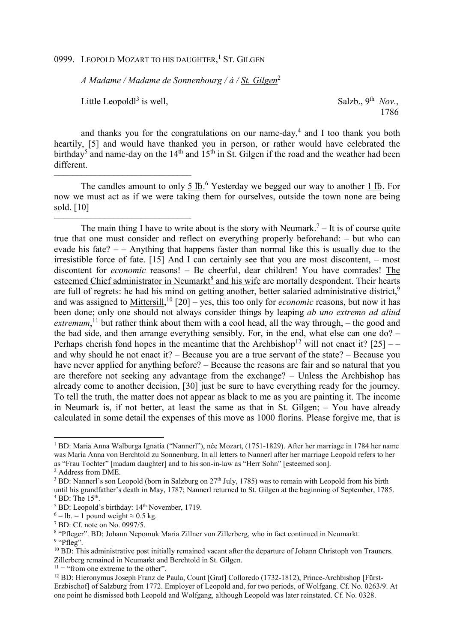0999. LEOPOLD MOZART TO HIS DAUGHTER,<sup>1</sup> ST. GILGEN

*A Madame / Madame de Sonnenbourg / à / St. Gilgen*<sup>2</sup>

Little Leopold $l^3$  is well.

––––––––––––––––––––––––––––––

––––––––––––––––––––––––––––––

is well,  $Salsb, 9<sup>th</sup> Nov.$ 1786

and thanks you for the congratulations on our name-day,<sup>4</sup> and I too thank you both heartily, [5] and would have thanked you in person, or rather would have celebrated the birthday<sup>5</sup> and name-day on the  $14<sup>th</sup>$  and  $15<sup>th</sup>$  in St. Gilgen if the road and the weather had been different.

The candles amount to only  $5 \text{ lb.}^6$  Yesterday we begged our way to another  $1 \text{ lb.}$  For now we must act as if we were taking them for ourselves, outside the town none are being sold. [10]

The main thing I have to write about is the story with Neumark.<sup>7</sup> – It is of course quite true that one must consider and reflect on everything properly beforehand: – but who can evade his fate? – – Anything that happens faster than normal like this is usually due to the irresistible force of fate. [15] And I can certainly see that you are most discontent, – most discontent for *economic* reasons! – Be cheerful, dear children! You have comrades! The esteemed Chief administrator in Neumarkt<sup>8</sup> and his wife are mortally despondent. Their hearts are full of regrets: he had his mind on getting another, better salaried administrative district,<sup>9</sup> and was assigned to Mittersill,<sup>10</sup> [20] – yes, this too only for *economic* reasons, but now it has been done; only one should not always consider things by leaping *ab uno extremo ad aliud*  extremum,<sup>11</sup> but rather think about them with a cool head, all the way through, – the good and the bad side, and then arrange everything sensibly. For, in the end, what else can one do? – Perhaps cherish fond hopes in the meantime that the Archbishop<sup>12</sup> will not enact it?  $[25]$  – and why should he not enact it? – Because you are a true servant of the state? – Because you have never applied for anything before? – Because the reasons are fair and so natural that you are therefore not seeking any advantage from the exchange? – Unless the Archbishop has already come to another decision, [30] just be sure to have everything ready for the journey. To tell the truth, the matter does not appear as black to me as you are painting it. The income in Neumark is, if not better, at least the same as that in St. Gilgen; – You have already calculated in some detail the expenses of this move as 1000 florins. Please forgive me, that is

l

<sup>1</sup> BD: Maria Anna Walburga Ignatia ("Nannerl"), née Mozart, (1751-1829). After her marriage in 1784 her name was Maria Anna von Berchtold zu Sonnenburg. In all letters to Nannerl after her marriage Leopold refers to her as "Frau Tochter" [madam daughter] and to his son-in-law as "Herr Sohn" [esteemed son].

<sup>2</sup> Address from DME.

<sup>&</sup>lt;sup>3</sup> BD: Nannerl's son Leopold (born in Salzburg on 27<sup>th</sup> July, 1785) was to remain with Leopold from his birth until his grandfather's death in May, 1787; Nannerl returned to St. Gilgen at the beginning of September, 1785.  $4$  BD: The  $15<sup>th</sup>$ .

<sup>5</sup> BD: Leopold's birthday: 14th November, 1719.

 $^6$  = lb. = 1 pound weight  $\approx$  0.5 kg.

<sup>7</sup> BD: Cf. note on No. 0997/5.

<sup>&</sup>lt;sup>8</sup> "Pfleger". BD: Johann Nepomuk Maria Zillner von Zillerberg, who in fact continued in Neumarkt. <sup>9</sup> "Pfleg".

<sup>&</sup>lt;sup>10</sup> BD: This administrative post initially remained vacant after the departure of Johann Christoph von Trauners. Zillerberg remained in Neumarkt and Berchtold in St. Gilgen.

 $11 =$  "from one extreme to the other".

<sup>&</sup>lt;sup>12</sup> BD: Hieronymus Joseph Franz de Paula, Count [Graf] Colloredo (1732-1812), Prince-Archbishop [Fürst-Erzbischof] of Salzburg from 1772. Employer of Leopold and, for two periods, of Wolfgang. Cf. No. 0263/9. At one point he dismissed both Leopold and Wolfgang, although Leopold was later reinstated. Cf. No. 0328.